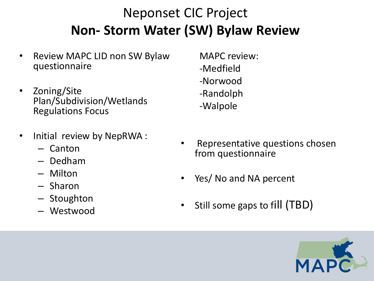# Neponset CIC Project **Non- Storm Water (SW) Bylaw Review**

- Review MAPC LID non SW Bylaw questionnaire
- Zoning/Site Plan/Subdivision/Wetlands Regulations Focus
- Initial review by NepRWA :
	- Canton
	- Dedham
	- Milton
	- Sharon
	- Stoughton
	- Westwood
- MAPC review: -Medfield -Norwood -Randolph -Walpole
- Representative questions chosen from questionnaire
- Yes/ No and NA percent
- Still some gaps to fill (TBD)

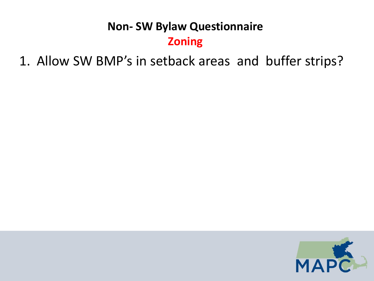1. Allow SW BMP's in setback areas and buffer strips?

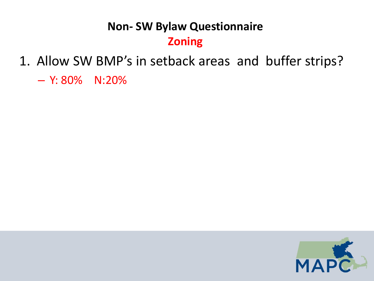1. Allow SW BMP's in setback areas and buffer strips?

– Y: 80% N:20%

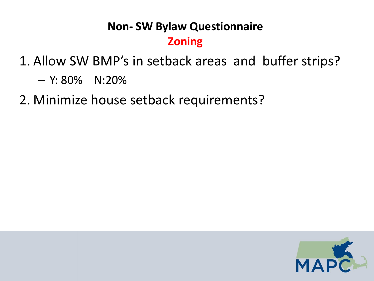1. Allow SW BMP's in setback areas and buffer strips?

 $-$  Y: 80% N:20%

2. Minimize house setback requirements?

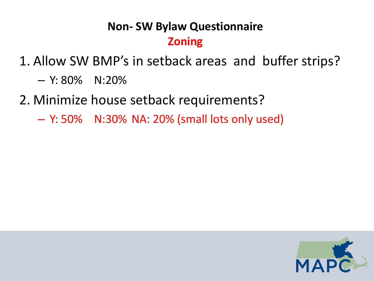1. Allow SW BMP's in setback areas and buffer strips?

- $-$  Y: 80% N:20%
- 2. Minimize house setback requirements?
	- Y: 50% N:30% NA: 20% (small lots only used)

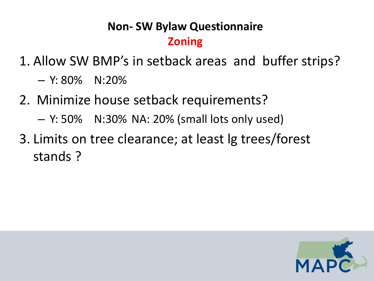1. Allow SW BMP's in setback areas and buffer strips?

- $-$  Y: 80% N:20%
- 2. Minimize house setback requirements?
	- $-$  Y: 50% N:30% NA: 20% (small lots only used)
- 3. Limits on tree clearance; at least lg trees/forest stands ?

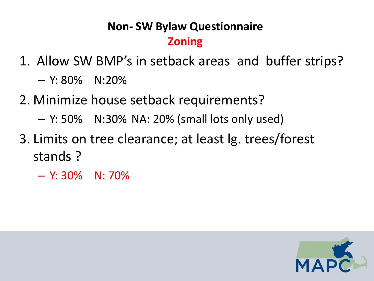- 1. Allow SW BMP's in setback areas and buffer strips?
	- $-$  Y: 80% N:20%
- 2. Minimize house setback requirements?
	- $-$  Y: 50% N:30% NA: 20% (small lots only used)
- 3. Limits on tree clearance; at least lg. trees/forest stands ?
	- Y: 30% N: 70%

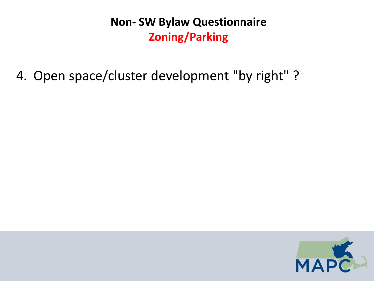4. Open space/cluster development "by right" ?

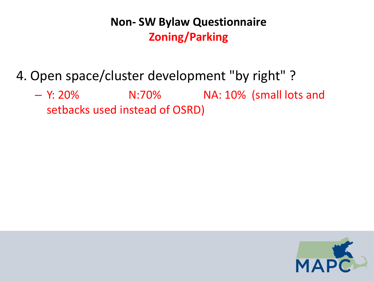### 4. Open space/cluster development "by right" ?

– Y: 20% N:70% NA: 10% (small lots and setbacks used instead of OSRD)

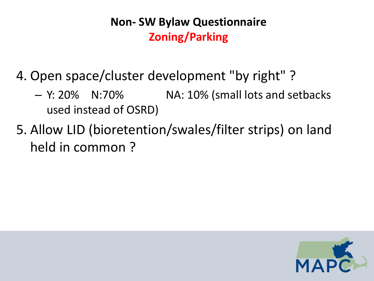- 4. Open space/cluster development "by right" ?
	- $-$  Y: 20% N:70% NA: 10% (small lots and setbacks used instead of OSRD)
- 5. Allow LID (bioretention/swales/filter strips) on land held in common ?

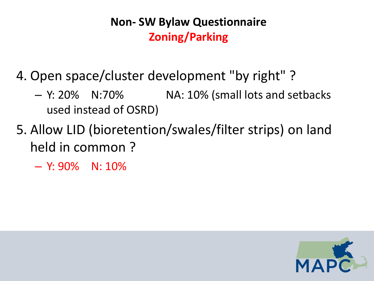- 4. Open space/cluster development "by right" ?
	- $-$  Y: 20% N:70% NA: 10% (small lots and setbacks used instead of OSRD)
- 5. Allow LID (bioretention/swales/filter strips) on land held in common ?
	- $-$  Y: 90% N: 10%

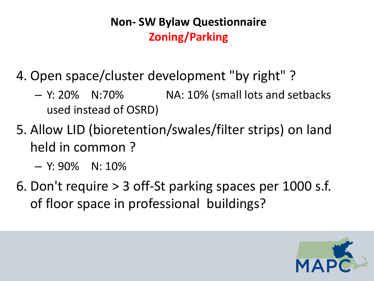- 4. Open space/cluster development "by right" ?
	- $-$  Y: 20%  $-$  N:70%  $-$  NA: 10% (small lots and setbacks used instead of OSRD)
- 5. Allow LID (bioretention/swales/filter strips) on land held in common ?
	- $-$  Y: 90% N: 10%
- 6. Don't require > 3 off-St parking spaces per 1000 s.f. of floor space in professional buildings?

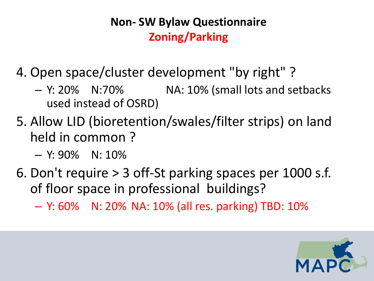- 4. Open space/cluster development "by right" ?
	- $-$  Y: 20% N:70% NA: 10% (small lots and setbacks used instead of OSRD)
- 5. Allow LID (bioretention/swales/filter strips) on land held in common ?
	- $-$  Y: 90% N: 10%
- 6. Don't require > 3 off-St parking spaces per 1000 s.f. of floor space in professional buildings?
	- Y: 60% N: 20% NA: 10% (all res. parking) TBD: 10%

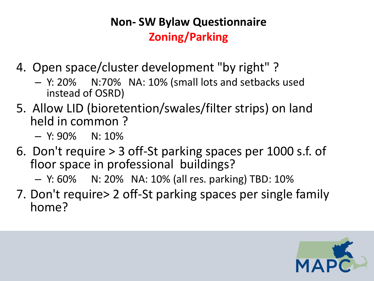- 4. Open space/cluster development "by right" ?
	- Y: 20% N:70% NA: 10% (small lots and setbacks used instead of OSRD)
- 5. Allow LID (bioretention/swales/filter strips) on land held in common ?
	- $-$  Y: 90% N: 10%
- 6. Don't require > 3 off-St parking spaces per 1000 s.f. of floor space in professional buildings?
	- Y: 60% N: 20% NA: 10% (all res. parking) TBD: 10%
- 7. Don't require> 2 off-St parking spaces per single family home?

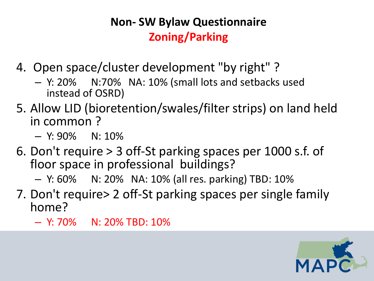- 4. Open space/cluster development "by right" ?
	- Y: 20% N:70% NA: 10% (small lots and setbacks used instead of OSRD)
- 5. Allow LID (bioretention/swales/filter strips) on land held in common ?
	- $-$  Y: 90% N: 10%
- 6. Don't require > 3 off-St parking spaces per 1000 s.f. of floor space in professional buildings?
	- Y: 60% N: 20% NA: 10% (all res. parking) TBD: 10%
- 7. Don't require> 2 off-St parking spaces per single family home?
	- $-$  Y: 70% N: 20% TBD: 10%

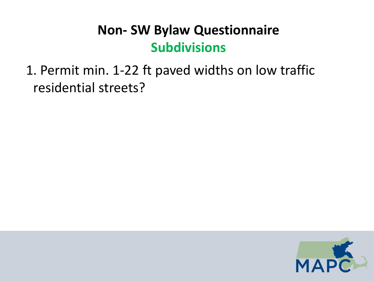1. Permit min. 1-22 ft paved widths on low traffic residential streets?

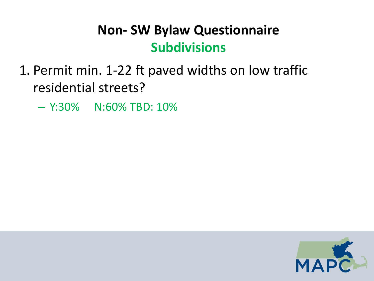- 1. Permit min. 1-22 ft paved widths on low traffic residential streets?
	- Y:30% N:60% TBD: 10%

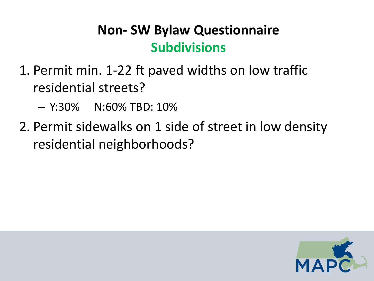- 1. Permit min. 1-22 ft paved widths on low traffic residential streets?
	- Y:30% N:60% TBD: 10%
- 2. Permit sidewalks on 1 side of street in low density residential neighborhoods?

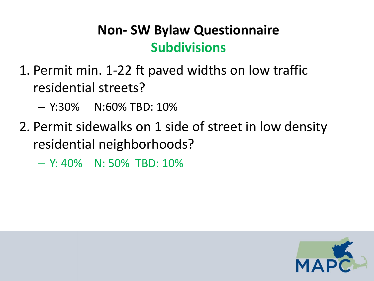- 1. Permit min. 1-22 ft paved widths on low traffic residential streets?
	- Y:30% N:60% TBD: 10%
- 2. Permit sidewalks on 1 side of street in low density residential neighborhoods?
	- Y: 40% N: 50% TBD: 10%

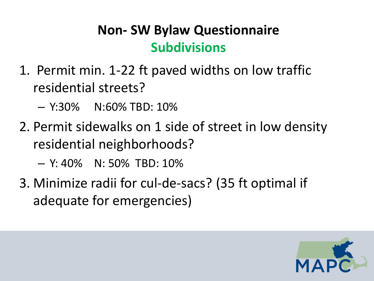- 1. Permit min. 1-22 ft paved widths on low traffic residential streets?
	- Y:30% N:60% TBD: 10%
- 2. Permit sidewalks on 1 side of street in low density residential neighborhoods?
	- Y: 40% N: 50% TBD: 10%
- 3. Minimize radii for cul-de-sacs? (35 ft optimal if adequate for emergencies)